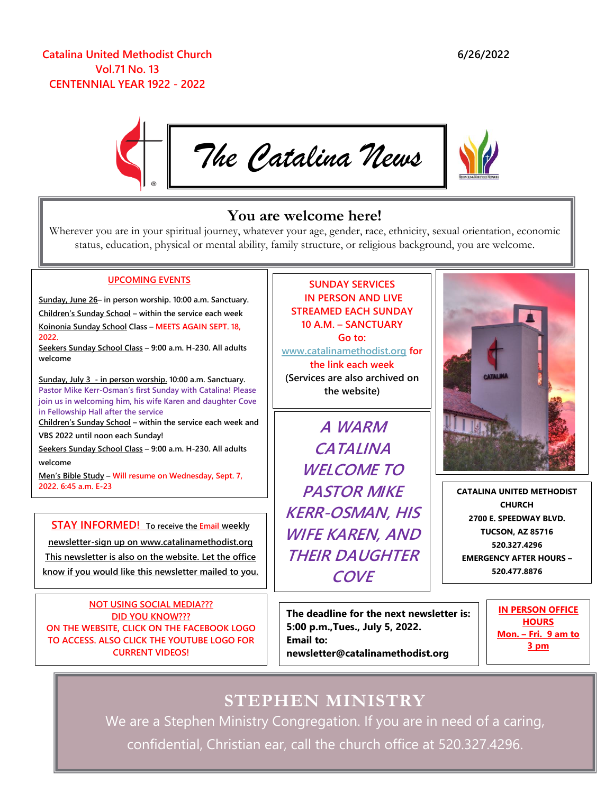### **Catalina United Methodist Church Vol.71 No. 13 CENTENNIAL YEAR 1922 - 2022**



## **You are welcome here!**

Wherever you are in your spiritual journey, whatever your age, gender, race, ethnicity, sexual orientation, economic status, education, physical or mental ability, family structure, or religious background, you are welcome.

#### **UPCOMING EVENTS**

**Sunday, June 26– in person worship. 10:00 a.m. Sanctuary.** 

**Children's Sunday School – within the service each week Koinonia Sunday School Class – MEETS AGAIN SEPT. 18, 2022.**

**Seekers Sunday School Class – 9:00 a.m. H-230. All adults welcome**

**Sunday, July 3 - in person worship. 10:00 a.m. Sanctuary. Pastor Mike Kerr-Osman's first Sunday with Catalina! Please join us in welcoming him, his wife Karen and daughter Cove in Fellowship Hall after the service**

**Children's Sunday School – within the service each week and VBS 2022 until noon each Sunday!**

**Seekers Sunday School Class – 9:00 a.m. H-230. All adults welcome**

**Men's Bible Study – Will resume on Wednesday, Sept. 7, 2022. 6:45 a.m. E-23**

**STAY INFORMED! To receive the Email weekly**

**newsletter-sign up on www.catalinamethodist.org This newsletter is also on the website. Let the office know if you would like this newsletter mailed to you.**

**NOT USING SOCIAL MEDIA??? DID YOU KNOW??? ON THE WEBSITE, CLICK ON THE FACEBOOK LOGO TO ACCESS. ALSO CLICK THE YOUTUBE LOGO FOR CURRENT VIDEOS!**

**catalinamethodist.org**

**SUNDAY SERVICES IN PERSON AND LIVE STREAMED EACH SUNDAY 10 A.M. – SANCTUARY Go to:** 

**[www.catalinamethodist.org](http://www.catalinamethodist.org/) for the link each week (Services are also archived on the website)**

**A WARM CATALINA WELCOME TO PASTOR MIKE KERR-OSMAN, HIS WIFE KAREN, AND THEIR DAUGHTER COVE**

**CATALINA UNITED METHODIST CHURCH 2700 E. SPEEDWAY BLVD. TUCSON, AZ 85716 520.327.4296 EMERGENCY AFTER HOURS – 520.477.8876**

 **5:00 p.m.,Tues., July 5, 2022. The deadline for the next newsletter is: Email to: newsletter@catalinamethodist.org**

**IN PERSON OFFICE HOURS Mon. – Fri. 9 am to 3 pm**

**STEPHEN MINISTRY** We are a Stephen Ministry Congregation. If you are in need of a caring, confidential, Christian ear, call the church office at 520.327.4296.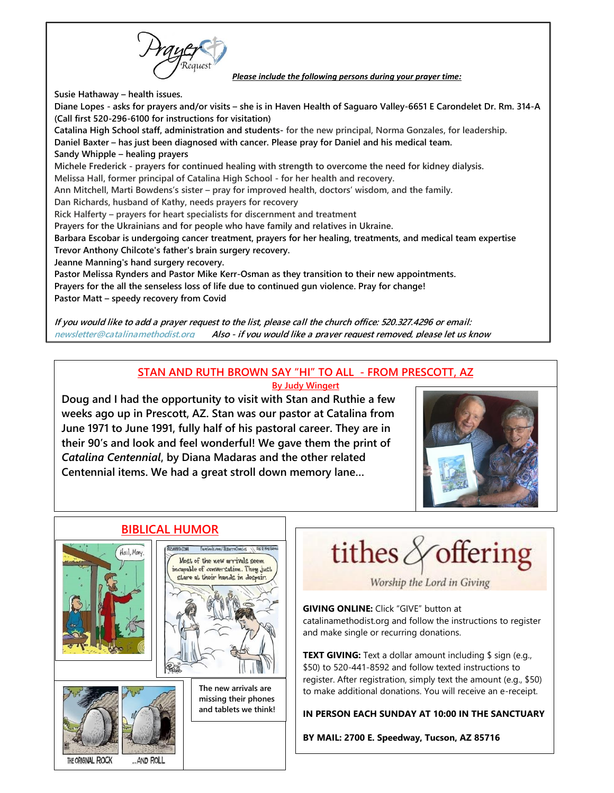*Please include the following persons during your prayer time:*

**Susie Hathaway – health issues.**

**Diane Lopes - asks for prayers and/or visits – she is in Haven Health of Saguaro Valley-6651 E Carondelet Dr. Rm. 314-A (Call first 520-296-6100 for instructions for visitation) Catalina High School staff, administration and students- for the new principal, Norma Gonzales, for leadership. Daniel Baxter – has just been diagnosed with cancer. Please pray for Daniel and his medical team. Sandy Whipple – healing prayers Michele Frederick - prayers for continued healing with strength to overcome the need for kidney dialysis. Melissa Hall, former principal of Catalina High School - for her health and recovery. Ann Mitchell, Marti Bowdens's sister – pray for improved health, doctors' wisdom, and the family. Dan Richards, husband of Kathy, needs prayers for recovery Rick Halferty – prayers for heart specialists for discernment and treatment Prayers for the Ukrainians and for people who have family and relatives in Ukraine. Barbara Escobar is undergoing cancer treatment, prayers for her healing, treatments, and medical team expertise Trevor Anthony Chilcote's father's brain surgery recovery. Jeanne Manning's hand surgery recovery. Pastor Melissa Rynders and Pastor Mike Kerr-Osman as they transition to their new appointments. Prayers for the all the senseless loss of life due to continued gun violence. Pray for change! Pastor Matt – speedy recovery from Covid**

**If you would like to add a prayer request to the list, please call the church office: 520.327.4296 or email: [newsletter@catalinamethodist.org](mailto:newsletter@catalinamethodist.org) Also - if you would like a prayer request removed, please let us know**

#### **STAN AND RUTH BROWN SAY "HI" TO ALL - FROM PRESCOTT, AZ By Judy Wingert**

**Doug and I had the opportunity to visit with Stan and Ruthie a few weeks ago up in Prescott, AZ. Stan was our pastor at Catalina from June 1971 to June 1991, fully half of his pastoral career. They are in their 90's and look and feel wonderful! We gave them the print of**  *Catalina Centennial***, by Diana Madaras and the other related Centennial items. We had a great stroll down memory lane…**



# **BIBLICAL HUMOR**





**The new arrivals are missing their phones** 

**and tablets we think!**

tithes  $\triangle$  offering

Worship the Lord in Giving

**GIVING ONLINE:** Click "GIVE" button at catalinamethodist.org and follow the instructions to register and make single or recurring donations.

**TEXT GIVING:** Text a dollar amount including \$ sign (e.g., \$50) to 520-441-8592 and follow texted instructions to register. After registration, simply text the amount (e.g., \$50) to make additional donations. You will receive an e-receipt.

**IN PERSON EACH SUNDAY AT 10:00 IN THE SANCTUARY**

**BY MAIL: 2700 E. Speedway, Tucson, AZ 85716**

THE ORIGINAL ROCK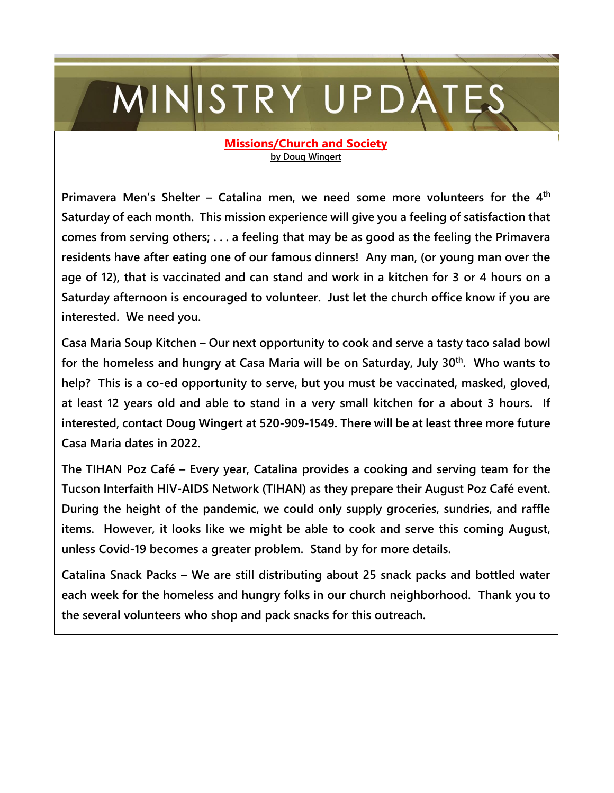# MINISTRY UPDATES

#### **Missions/Church and Society by Doug Wingert**

**Primavera Men's Shelter – Catalina men, we need some more volunteers for the 4th Saturday of each month. This mission experience will give you a feeling of satisfaction that comes from serving others; . . . a feeling that may be as good as the feeling the Primavera residents have after eating one of our famous dinners! Any man, (or young man over the age of 12), that is vaccinated and can stand and work in a kitchen for 3 or 4 hours on a Saturday afternoon is encouraged to volunteer. Just let the church office know if you are interested. We need you.**

**Casa Maria Soup Kitchen – Our next opportunity to cook and serve a tasty taco salad bowl for the homeless and hungry at Casa Maria will be on Saturday, July 30th. Who wants to help? This is a co-ed opportunity to serve, but you must be vaccinated, masked, gloved, at least 12 years old and able to stand in a very small kitchen for a about 3 hours. If interested, contact Doug Wingert at 520-909-1549. There will be at least three more future Casa Maria dates in 2022.**

**The TIHAN Poz Café – Every year, Catalina provides a cooking and serving team for the Tucson Interfaith HIV-AIDS Network (TIHAN) as they prepare their August Poz Café event. During the height of the pandemic, we could only supply groceries, sundries, and raffle items. However, it looks like we might be able to cook and serve this coming August, unless Covid-19 becomes a greater problem. Stand by for more details.**

**Catalina Snack Packs – We are still distributing about 25 snack packs and bottled water each week for the homeless and hungry folks in our church neighborhood. Thank you to the several volunteers who shop and pack snacks for this outreach.**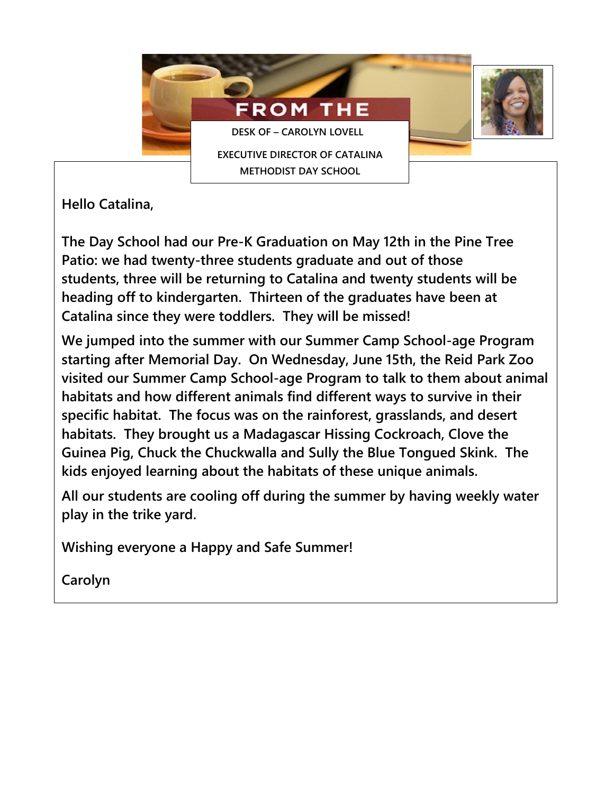

**Hello Catalina,**

**The Day School had our Pre-K Graduation on May 12th in the Pine Tree Patio: we had twenty-three students graduate and out of those students, three will be returning to Catalina and twenty students will be heading off to kindergarten. Thirteen of the graduates have been at Catalina since they were toddlers. They will be missed!**

**We jumped into the summer with our Summer Camp School-age Program starting after Memorial Day. On Wednesday, June 15th, the Reid Park Zoo visited our Summer Camp School-age Program to talk to them about animal habitats and how different animals find different ways to survive in their specific habitat. The focus was on the rainforest, grasslands, and desert habitats. They brought us a Madagascar Hissing Cockroach, Clove the Guinea Pig, Chuck the Chuckwalla and Sully the Blue Tongued Skink. The kids enjoyed learning about the habitats of these unique animals.**

**All our students are cooling off during the summer by having weekly water play in the trike yard.**

**Wishing everyone a Happy and Safe Summer!**

**Carolyn**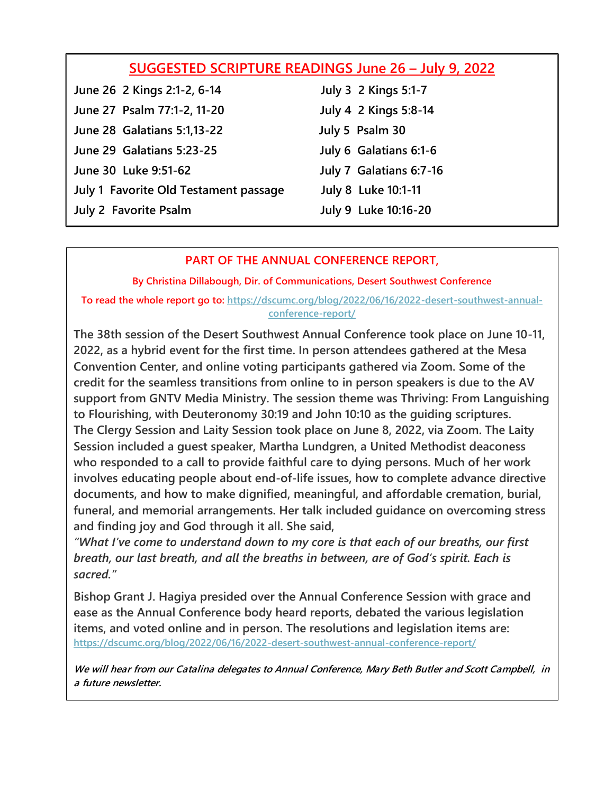| SUGGESTED SCRIPTURE READINGS June 26 - July 9, 2022 |                             |
|-----------------------------------------------------|-----------------------------|
| June 26 2 Kings 2:1-2, 6-14                         | <b>July 3 2 Kings 5:1-7</b> |
| June 27 Psalm 77:1-2, 11-20                         | July 4 2 Kings 5:8-14       |
| <b>June 28 Galatians 5:1,13-22</b>                  | July 5 Psalm 30             |
| June 29 Galatians 5:23-25                           | July 6 Galatians 6:1-6      |
| June 30 Luke 9:51-62                                | July 7 Galatians 6:7-16     |
| July 1 Favorite Old Testament passage               | July 8 Luke 10:1-11         |
| <b>July 2 Favorite Psalm</b>                        | July 9 Luke 10:16-20        |

## **PART OF THE ANNUAL CONFERENCE REPORT,**

**By Christina Dillabough, Dir. of Communications, Desert Southwest Conference**

**To read the whole report go to: [https://dscumc.org/blog/2022/06/16/2022-desert-southwest-annual](https://dscumc.org/blog/2022/06/16/2022-desert-southwest-annual-conference-report/)[conference-report/](https://dscumc.org/blog/2022/06/16/2022-desert-southwest-annual-conference-report/)**

**The 38th session of the Desert Southwest Annual Conference took place on June 10-11, 2022, as a hybrid event for the first time. In person attendees gathered at the Mesa Convention Center, and online voting participants gathered via Zoom. Some of the credit for the seamless transitions from online to in person speakers is due to the AV support from GNTV Media Ministry. The session theme was Thriving: From Languishing to Flourishing, with Deuteronomy 30:19 and John 10:10 as the guiding scriptures. The Clergy Session and Laity Session took place on June 8, 2022, via Zoom. The Laity Session included a guest speaker, Martha Lundgren, a United Methodist deaconess who responded to a call to provide faithful care to dying persons. Much of her work involves educating people about end-of-life issues, how to complete advance directive documents, and how to make dignified, meaningful, and affordable cremation, burial, funeral, and memorial arrangements. Her talk included guidance on overcoming stress and finding joy and God through it all. She said,**

*"What I've come to understand down to my core is that each of our breaths, our first breath, our last breath, and all the breaths in between, are of God's spirit. Each is sacred."*

**Bishop Grant J. Hagiya presided over the Annual Conference Session with grace and ease as the Annual Conference body heard reports, debated the various legislation items, and voted online and in person. The resolutions and legislation items are: <https://dscumc.org/blog/2022/06/16/2022-desert-southwest-annual-conference-report/>**

**We will hear from our Catalina delegates to Annual Conference, Mary Beth Butler and Scott Campbell, in <sup>a</sup> future newsletter.**